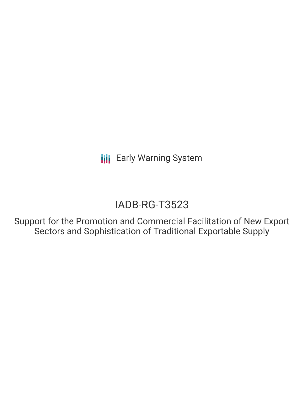**III** Early Warning System

# IADB-RG-T3523

Support for the Promotion and Commercial Facilitation of New Export Sectors and Sophistication of Traditional Exportable Supply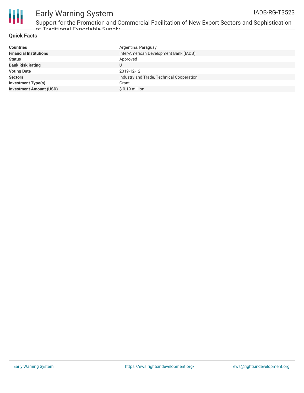

## Early Warning System

Support for the Promotion and Commercial Facilitation of New Export Sectors and Sophistication of Traditional Evnortable Sunnly

#### **Quick Facts**

| Argentina, Paraguay                       |
|-------------------------------------------|
| Inter-American Development Bank (IADB)    |
| Approved                                  |
| U                                         |
| 2019-12-12                                |
| Industry and Trade, Technical Cooperation |
| Grant                                     |
| $$0.19$ million                           |
|                                           |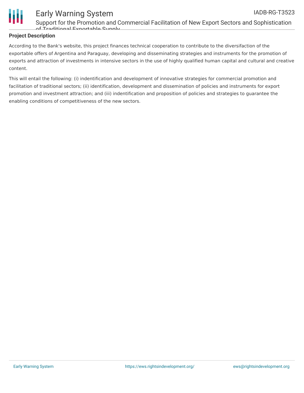

### Early Warning System

Support for the Promotion and Commercial Facilitation of New Export Sectors and Sophistication of Traditional Exportable Supply

#### **Project Description**

According to the Bank's website, this project finances technical cooperation to contribute to the diversifaction of the exportable offers of Argentina and Paraguay, developing and disseminating strategies and instruments for the promotion of exports and attraction of investments in intensive sectors in the use of highly qualified human capital and cultural and creative content.

This will entail the following: (i) indentification and development of innovative strategies for commercial promotion and facilitation of traditional sectors; (ii) identification, development and dissemination of policies and instruments for export promotion and investment attraction; and (iii) indentification and proposition of policies and strategies to guarantee the enabling conditions of competitiveness of the new sectors.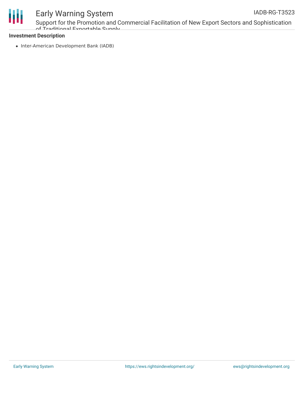

### Early Warning System

Support for the Promotion and Commercial Facilitation of New Export Sectors and Sophistication of Traditional Exportable Supply

#### **Investment Description**

• Inter-American Development Bank (IADB)